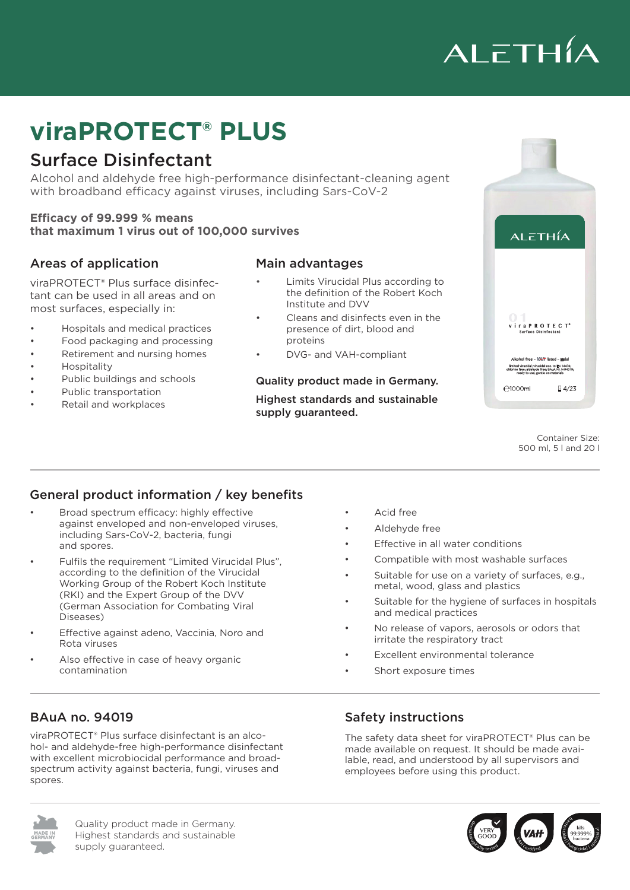

## c<sub>o</sub> et e ut **viraPROTECT® PLUS**

### Surface Disinfectant

Alcohol and aldehyde free high-performance disinfectant-cleaning agent alkoholingin pontonnanoo alainin with broadband efficacy against viruses, including Sars-CoV-2

#### **Efficacy of 99.999 % means that maximum 1 virus out of 100,000 survives**

#### Areas of application

tant can be used in all areas and on most surfaces, especially in: viraPROTECT® Plus surface disinfec-

- Hospitals and medical practices
- Food packaging and processing
- Retirement and nursing homes
- Hospitality
- Lebensmittelverpackung- und verarbeitung • Public buildings and schools
- Öffentliche Gebäude und Schulen Public transportation
- Petail and workplaces

#### n im Sinne Viruzia im Sinne von Robert II. Eine von Robert Koch Institut und DVV and DVV and DVV and DVV and D

- Limits Virucidal Plus according to the definition of the Robert Koch Institute and DVV
- ical practices entitled in allen the presence of dirt, blood and und den meisten oberflächen Der Schweizer insbesondere insbesondere insbesondere insbesondere insbesondere in<br>Besondere insbesondere insbesondere insbesondere insbesondere insbesondere insbesondere insbesondere insbesond • Cleans and disinfects even in the proteins
	- DVG- and VAH-compliant

#### Quality product made in Germany.

Highest standards and sustainable supply quaranteed.



500 ml, 5 l and 20 l Container Size:

#### General product information / key benefits

- Broad spectrum efficacy: highly effective against enveloped and non-enveloped viruses, including Sars-CoV-2, bacteria, fungi and spores.
- Fulfils the requirement ''Limited Virucidal Plus", according to the definition of the Virucidal Working Group of the Robert Koch Institute (RKI) and the Expert Group of the DVV (German Association for Combating Viral Diseases)
- Effective against adeno, Vaccinia, Noro and Rota viruses
- Also effective in case of heavy organic contamination
- Acid free
- Aldehyde free
- Effective in all water conditions
- Compatible with most washable surfaces
- Suitable for use on a variety of surfaces, e.g., metal, wood, glass and plastics
- Suitable for the hygiene of surfaces in hospitals and medical practices
- No release of vapors, aerosols or odors that irritate the respiratory tract
- Excellent environmental tolerance
- Short exposure times

#### BAuA no. 94019

viraPROTECT® Plus surface disinfectant is an alcohol- and aldehyde-free high-performance disinfectant with excellent microbiocidal performance and broadspectrum activity against bacteria, fungi, viruses and spores.

#### Safety instructions

The safety data sheet for viraPROTECT® Plus can be made available on request. It should be made available, read, and understood by all supervisors and employees before using this product.



Quality product made in Germany. Highest standards and sustainable supply guaranteed.